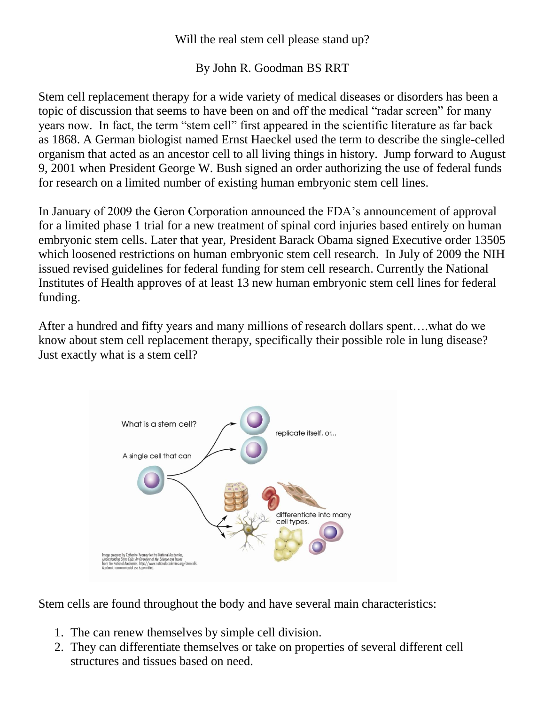## Will the real stem cell please stand up?

## By John R. Goodman BS RRT

Stem cell replacement therapy for a wide variety of medical diseases or disorders has been a topic of discussion that seems to have been on and off the medical "radar screen" for many years now. In fact, the term "stem cell" first appeared in the scientific literature as far back as 1868. A German biologist named Ernst Haeckel used the term to describe the single-celled organism that acted as an ancestor cell to all living things in history. Jump forward to August 9, 2001 when President George W. Bush signed an order authorizing the use of federal funds for research on a limited number of existing human embryonic stem cell lines.

In January of 2009 the Geron Corporation announced the FDA's announcement of approval for a limited phase 1 trial for a new treatment of spinal cord injuries based entirely on human embryonic stem cells. Later that year, President Barack Obama signed Executive order 13505 which loosened restrictions on human embryonic stem cell research. In July of 2009 the NIH issued revised guidelines for federal funding for stem cell research. Currently the National Institutes of Health approves of at least 13 new human embryonic stem cell lines for federal funding.

After a hundred and fifty years and many millions of research dollars spent….what do we know about stem cell replacement therapy, specifically their possible role in lung disease? Just exactly what is a stem cell?



Stem cells are found throughout the body and have several main characteristics:

- 1. The can renew themselves by simple cell division.
- 2. They can differentiate themselves or take on properties of several different cell structures and tissues based on need.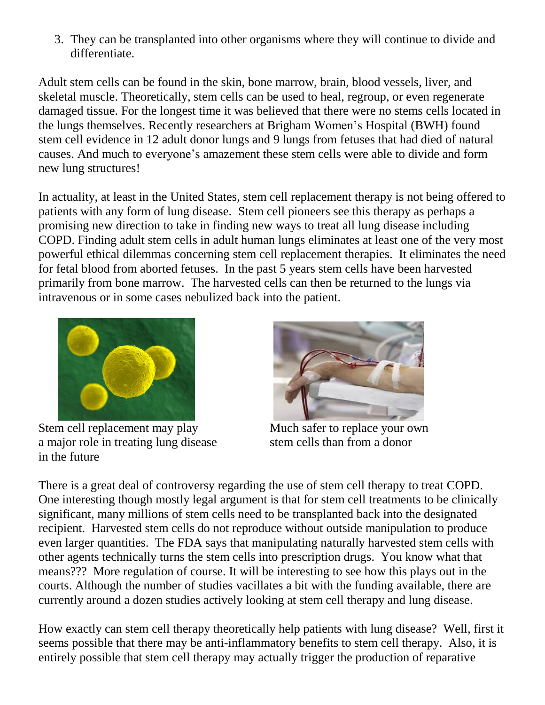3. They can be transplanted into other organisms where they will continue to divide and differentiate.

Adult stem cells can be found in the skin, bone marrow, brain, blood vessels, liver, and skeletal muscle. Theoretically, stem cells can be used to heal, regroup, or even regenerate damaged tissue. For the longest time it was believed that there were no stems cells located in the lungs themselves. Recently researchers at Brigham Women's Hospital (BWH) found stem cell evidence in 12 adult donor lungs and 9 lungs from fetuses that had died of natural causes. And much to everyone's amazement these stem cells were able to divide and form new lung structures!

In actuality, at least in the United States, stem cell replacement therapy is not being offered to patients with any form of lung disease. Stem cell pioneers see this therapy as perhaps a promising new direction to take in finding new ways to treat all lung disease including COPD. Finding adult stem cells in adult human lungs eliminates at least one of the very most powerful ethical dilemmas concerning stem cell replacement therapies. It eliminates the need for fetal blood from aborted fetuses. In the past 5 years stem cells have been harvested primarily from bone marrow. The harvested cells can then be returned to the lungs via intravenous or in some cases nebulized back into the patient.



Stem cell replacement may play a major role in treating lung disease stem cells than from a donor in the future



Much safer to replace your own

There is a great deal of controversy regarding the use of stem cell therapy to treat COPD. One interesting though mostly legal argument is that for stem cell treatments to be clinically significant, many millions of stem cells need to be transplanted back into the designated recipient. Harvested stem cells do not reproduce without outside manipulation to produce even larger quantities. The FDA says that manipulating naturally harvested stem cells with other agents technically turns the stem cells into prescription drugs. You know what that means??? More regulation of course. It will be interesting to see how this plays out in the courts. Although the number of studies vacillates a bit with the funding available, there are currently around a dozen studies actively looking at stem cell therapy and lung disease.

How exactly can stem cell therapy theoretically help patients with lung disease? Well, first it seems possible that there may be anti-inflammatory benefits to stem cell therapy. Also, it is entirely possible that stem cell therapy may actually trigger the production of reparative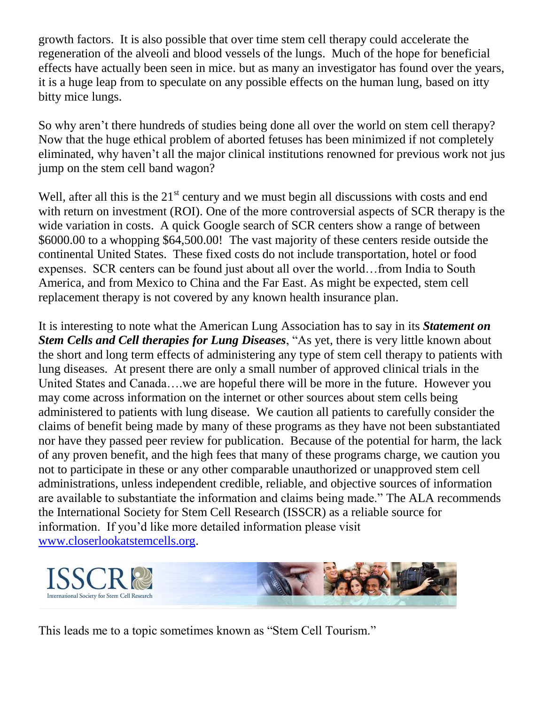growth factors. It is also possible that over time stem cell therapy could accelerate the regeneration of the alveoli and blood vessels of the lungs. Much of the hope for beneficial effects have actually been seen in mice. but as many an investigator has found over the years, it is a huge leap from to speculate on any possible effects on the human lung, based on itty bitty mice lungs.

So why aren't there hundreds of studies being done all over the world on stem cell therapy? Now that the huge ethical problem of aborted fetuses has been minimized if not completely eliminated, why haven't all the major clinical institutions renowned for previous work not jus jump on the stem cell band wagon?

Well, after all this is the  $21<sup>st</sup>$  century and we must begin all discussions with costs and end with return on investment (ROI). One of the more controversial aspects of SCR therapy is the wide variation in costs. A quick Google search of SCR centers show a range of between \$6000.00 to a whopping \$64,500.00! The vast majority of these centers reside outside the continental United States. These fixed costs do not include transportation, hotel or food expenses. SCR centers can be found just about all over the world…from India to South America, and from Mexico to China and the Far East. As might be expected, stem cell replacement therapy is not covered by any known health insurance plan.

It is interesting to note what the American Lung Association has to say in its *Statement on Stem Cells and Cell therapies for Lung Diseases*, "As yet, there is very little known about the short and long term effects of administering any type of stem cell therapy to patients with lung diseases. At present there are only a small number of approved clinical trials in the United States and Canada….we are hopeful there will be more in the future. However you may come across information on the internet or other sources about stem cells being administered to patients with lung disease. We caution all patients to carefully consider the claims of benefit being made by many of these programs as they have not been substantiated nor have they passed peer review for publication. Because of the potential for harm, the lack of any proven benefit, and the high fees that many of these programs charge, we caution you not to participate in these or any other comparable unauthorized or unapproved stem cell administrations, unless independent credible, reliable, and objective sources of information are available to substantiate the information and claims being made." The ALA recommends the International Society for Stem Cell Research (ISSCR) as a reliable source for information. If you'd like more detailed information please visit [www.closerlookatstemcells.org.](http://www.closerlookatstemcells.org/)



This leads me to a topic sometimes known as "Stem Cell Tourism."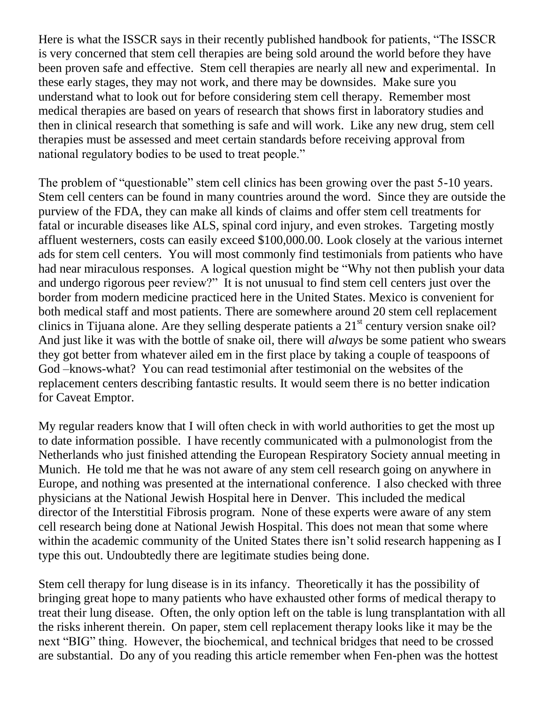Here is what the ISSCR says in their recently published handbook for patients, "The ISSCR is very concerned that stem cell therapies are being sold around the world before they have been proven safe and effective. Stem cell therapies are nearly all new and experimental. In these early stages, they may not work, and there may be downsides. Make sure you understand what to look out for before considering stem cell therapy. Remember most medical therapies are based on years of research that shows first in laboratory studies and then in clinical research that something is safe and will work. Like any new drug, stem cell therapies must be assessed and meet certain standards before receiving approval from national regulatory bodies to be used to treat people."

The problem of "questionable" stem cell clinics has been growing over the past 5-10 years. Stem cell centers can be found in many countries around the word. Since they are outside the purview of the FDA, they can make all kinds of claims and offer stem cell treatments for fatal or incurable diseases like ALS, spinal cord injury, and even strokes. Targeting mostly affluent westerners, costs can easily exceed \$100,000.00. Look closely at the various internet ads for stem cell centers. You will most commonly find testimonials from patients who have had near miraculous responses. A logical question might be "Why not then publish your data and undergo rigorous peer review?" It is not unusual to find stem cell centers just over the border from modern medicine practiced here in the United States. Mexico is convenient for both medical staff and most patients. There are somewhere around 20 stem cell replacement clinics in Tijuana alone. Are they selling desperate patients a  $21<sup>st</sup>$  century version snake oil? And just like it was with the bottle of snake oil, there will *always* be some patient who swears they got better from whatever ailed em in the first place by taking a couple of teaspoons of God –knows-what? You can read testimonial after testimonial on the websites of the replacement centers describing fantastic results. It would seem there is no better indication for Caveat Emptor.

My regular readers know that I will often check in with world authorities to get the most up to date information possible. I have recently communicated with a pulmonologist from the Netherlands who just finished attending the European Respiratory Society annual meeting in Munich. He told me that he was not aware of any stem cell research going on anywhere in Europe, and nothing was presented at the international conference. I also checked with three physicians at the National Jewish Hospital here in Denver. This included the medical director of the Interstitial Fibrosis program. None of these experts were aware of any stem cell research being done at National Jewish Hospital. This does not mean that some where within the academic community of the United States there isn't solid research happening as I type this out. Undoubtedly there are legitimate studies being done.

Stem cell therapy for lung disease is in its infancy. Theoretically it has the possibility of bringing great hope to many patients who have exhausted other forms of medical therapy to treat their lung disease. Often, the only option left on the table is lung transplantation with all the risks inherent therein. On paper, stem cell replacement therapy looks like it may be the next "BIG" thing. However, the biochemical, and technical bridges that need to be crossed are substantial. Do any of you reading this article remember when Fen-phen was the hottest